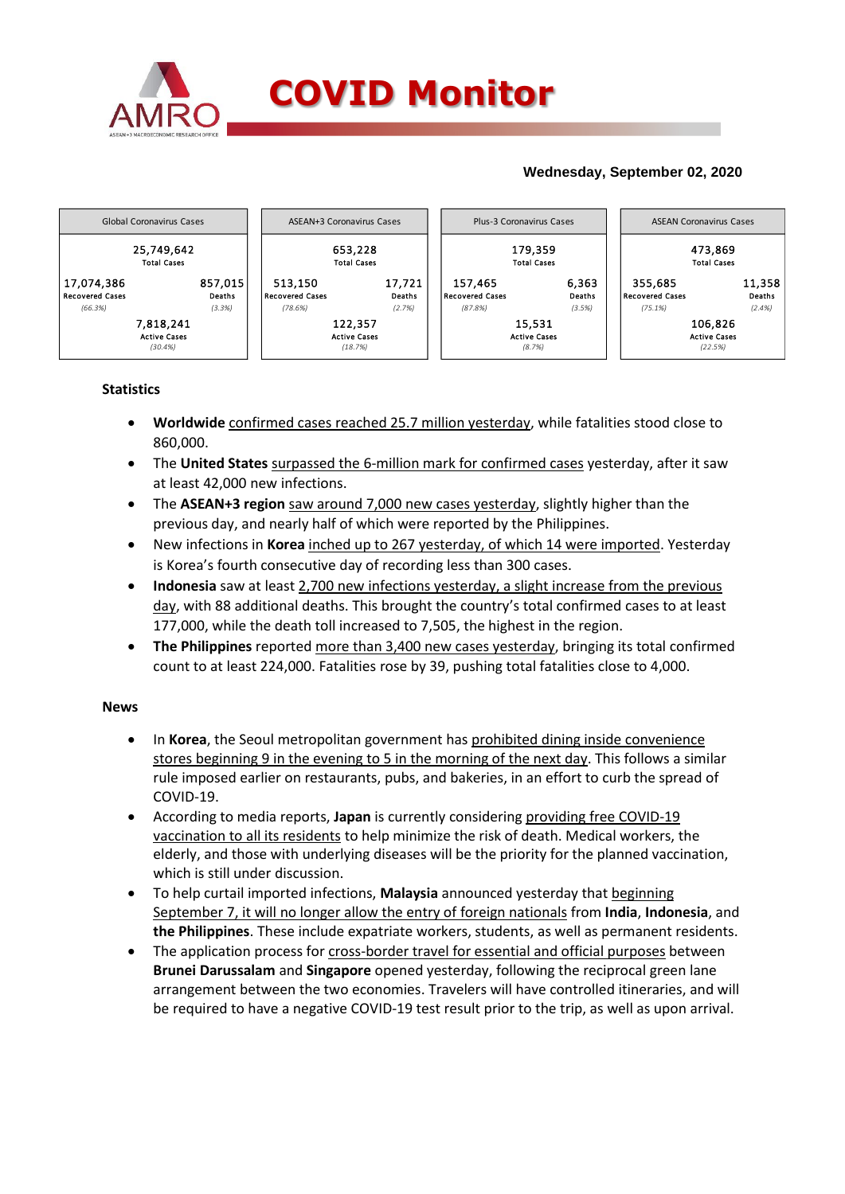

# **Wednesday, September 02, 2020**



# **Statistics**

- **Worldwide** confirmed cases reached 25.7 million yesterday, while fatalities stood close to 860,000.
- The United States surpassed the 6-million mark for confirmed cases yesterday, after it saw at least 42,000 new infections.
- The **ASEAN+3 region** saw around 7,000 new cases yesterday, slightly higher than the previous day, and nearly half of which were reported by the Philippines.
- New infections in **Korea** inched up to 267 yesterday, of which 14 were imported. Yesterday is Korea's fourth consecutive day of recording less than 300 cases.
- **Indonesia** saw at least 2,700 new infections yesterday, a slight increase from the previous day, with 88 additional deaths. This brought the country's total confirmed cases to at least 177,000, while the death toll increased to 7,505, the highest in the region.
- **The Philippines** reported more than 3,400 new cases yesterday, bringing its total confirmed count to at least 224,000. Fatalities rose by 39, pushing total fatalities close to 4,000.

### **News**

- In **Korea**, the Seoul metropolitan government has prohibited dining inside convenience stores beginning 9 in the evening to 5 in the morning of the next day. This follows a similar rule imposed earlier on restaurants, pubs, and bakeries, in an effort to curb the spread of COVID-19.
- According to media reports, **Japan** is currently considering providing free COVID-19 vaccination to all its residents to help minimize the risk of death. Medical workers, the elderly, and those with underlying diseases will be the priority for the planned vaccination, which is still under discussion.
- To help curtail imported infections, **Malaysia** announced yesterday that beginning September 7, it will no longer allow the entry of foreign nationals from **India**, **Indonesia**, and **the Philippines**. These include expatriate workers, students, as well as permanent residents.
- The application process for cross-border travel for essential and official purposes between **Brunei Darussalam** and **Singapore** opened yesterday, following the reciprocal green lane arrangement between the two economies. Travelers will have controlled itineraries, and will be required to have a negative COVID-19 test result prior to the trip, as well as upon arrival.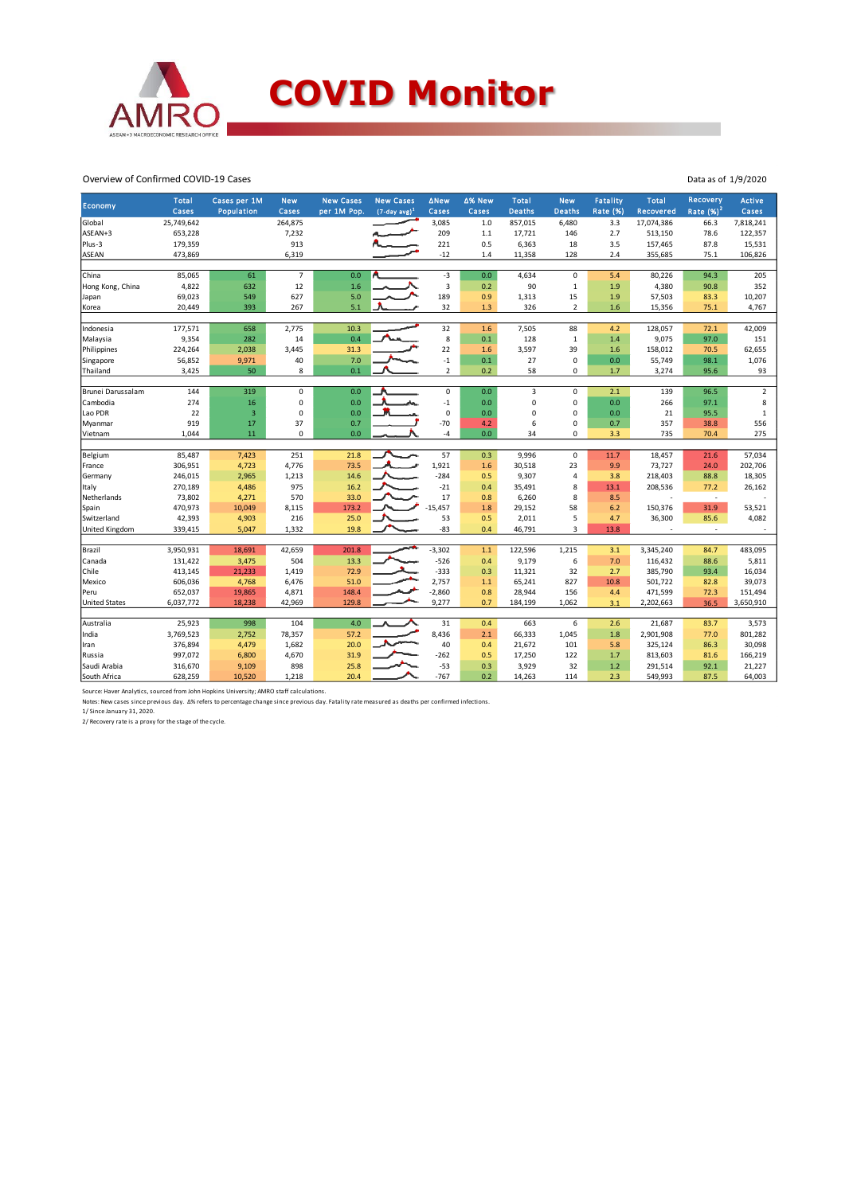

#### Overview of Confirmed COVID-19 Cases

| Economy               | <b>Total</b><br>Cases | Cases per 1M<br><b>Population</b> | <b>New</b><br>Cases | <b>New Cases</b><br>per 1M Pop. | <b>New Cases</b><br>$(7$ -day avg) <sup>1</sup> | ∆New<br>Cases  | ∆% New<br>Cases | <b>Total</b><br><b>Deaths</b> | <b>New</b><br><b>Deaths</b> | Fatality<br><b>Rate (%)</b> | <b>Total</b><br>Recovered | Recovery<br>Rate $(%)2$  | Active<br>Cases |
|-----------------------|-----------------------|-----------------------------------|---------------------|---------------------------------|-------------------------------------------------|----------------|-----------------|-------------------------------|-----------------------------|-----------------------------|---------------------------|--------------------------|-----------------|
| Global                | 25,749,642            |                                   | 264,875             |                                 |                                                 | 3,085          | 1.0             | 857,015                       | 6,480                       | 3.3                         | 17,074,386                | 66.3                     | 7,818,241       |
| ASEAN+3               | 653,228               |                                   | 7,232               |                                 |                                                 | 209            | 1.1             | 17,721                        | 146                         | 2.7                         | 513,150                   | 78.6                     | 122,357         |
| Plus-3                | 179,359               |                                   | 913                 |                                 |                                                 | 221            | 0.5             | 6,363                         | 18                          | 3.5                         | 157,465                   | 87.8                     | 15,531          |
| <b>ASEAN</b>          | 473,869               |                                   | 6,319               |                                 |                                                 | $-12$          | 1.4             | 11,358                        | 128                         | 2.4                         | 355,685                   | 75.1                     | 106,826         |
|                       |                       |                                   |                     |                                 |                                                 |                |                 |                               |                             |                             |                           |                          |                 |
| China                 | 85,065                | 61                                | $\overline{7}$      | 0.0                             |                                                 | $-3$           | 0.0             | 4,634                         | $\mathbf 0$                 | 5.4                         | 80,226                    | 94.3                     | 205             |
| Hong Kong, China      | 4,822                 | 632                               | 12                  | 1.6                             |                                                 | 3              | 0.2             | 90                            | $\,1\,$                     | 1.9                         | 4,380                     | 90.8                     | 352             |
| Japan                 | 69,023                | 549                               | 627                 | 5.0                             |                                                 | 189            | 0.9             | 1,313                         | 15                          | 1.9                         | 57,503                    | 83.3                     | 10,207          |
| Korea                 | 20,449                | 393                               | 267                 | 5.1                             |                                                 | 32             | 1.3             | 326                           | $\overline{2}$              | 1.6                         | 15,356                    | 75.1                     | 4,767           |
| Indonesia             | 177,571               | 658                               | 2,775               | 10.3                            |                                                 | 32             | 1.6             | 7,505                         | 88                          | 4.2                         | 128,057                   | 72.1                     | 42,009          |
| Malaysia              | 9,354                 | 282                               | 14                  | 0.4                             |                                                 | 8              | 0.1             | 128                           | $\mathbf{1}$                | 1.4                         | 9,075                     | 97.0                     | 151             |
|                       | 224,264               |                                   | 3,445               | 31.3                            |                                                 | 22             | 1.6             | 3,597                         | 39                          | 1.6                         | 158,012                   | 70.5                     | 62,655          |
| Philippines           |                       | 2,038                             | 40                  | 7.0                             |                                                 | $-1$           | 0.1             | 27                            | $\mathbf 0$                 | 0.0                         | 55,749                    |                          |                 |
| Singapore             | 56,852                | 9,971                             | 8                   |                                 |                                                 | $\overline{2}$ |                 |                               | $\mathbf 0$                 |                             |                           | 98.1                     | 1,076           |
| Thailand              | 3,425                 | 50                                |                     | 0.1                             |                                                 |                | 0.2             | 58                            |                             | 1.7                         | 3,274                     | 95.6                     | 93              |
| Brunei Darussalam     | 144                   | 319                               | $\mathbf 0$         | 0.0                             |                                                 | $\mathsf 0$    | 0.0             | 3                             | $\pmb{0}$                   | 2.1                         | 139                       | 96.5                     | $\overline{2}$  |
| Cambodia              | 274                   | 16                                | $\mathbf 0$         | 0.0                             | ሔ                                               | $-1$           | 0.0             | $\mathbf 0$                   | $\pmb{0}$                   | 0.0                         | 266                       | 97.1                     | 8               |
| Lao PDR               | 22                    | $\overline{3}$                    | $\mathbf 0$         | 0.0                             |                                                 | 0              | 0.0             | $\Omega$                      | $\mathbf 0$                 | 0.0                         | 21                        | 95.5                     | $\mathbf{1}$    |
| Myanmar               | 919                   | 17                                | 37                  | 0.7                             |                                                 | $-70$          | 4.2             | 6                             | $\mathbf 0$                 | 0.7                         | 357                       | 38.8                     | 556             |
| Vietnam               | 1,044                 | 11                                | $\mathbf 0$         | 0.0                             |                                                 | $-4$           | 0.0             | 34                            | $\mathbf 0$                 | 3.3                         | 735                       | 70.4                     | 275             |
|                       |                       |                                   |                     |                                 |                                                 |                |                 |                               |                             |                             |                           |                          |                 |
| Belgium               | 85,487                | 7,423                             | 251                 | 21.8                            |                                                 | 57             | 0.3             | 9,996                         | $\pmb{0}$                   | 11.7                        | 18,457                    | 21.6                     | 57,034          |
| France                | 306,951               | 4,723                             | 4,776               | 73.5                            |                                                 | 1,921          | 1.6             | 30,518                        | 23                          | 9.9                         | 73,727                    | 24.0                     | 202,706         |
| Germany               | 246,015               | 2,965                             | 1,213               | 14.6                            |                                                 | $-284$         | 0.5             | 9,307                         | $\overline{4}$              | 3.8                         | 218,403                   | 88.8                     | 18,305          |
| Italy                 | 270,189               | 4,486                             | 975                 | 16.2                            |                                                 | $-21$          | 0.4             | 35,491                        | 8                           | 13.1                        | 208,536                   | 77.2                     | 26,162          |
| Netherlands           | 73,802                | 4,271                             | 570                 | 33.0                            |                                                 | 17             | 0.8             | 6,260                         | 8                           | 8.5                         | J.                        | $\overline{\phantom{a}}$ |                 |
| Spain                 | 470,973               | 10,049                            | 8,115               | 173.2                           |                                                 | $-15.457$      | 1.8             | 29,152                        | 58                          | 6.2                         | 150,376                   | 31.9                     | 53,521          |
| Switzerland           | 42,393                | 4,903                             | 216                 | 25.0                            |                                                 | 53             | 0.5             | 2,011                         | 5                           | 4.7                         | 36,300                    | 85.6                     | 4,082           |
| <b>United Kingdom</b> | 339,415               | 5,047                             | 1,332               | 19.8                            |                                                 | $-83$          | 0.4             | 46,791                        | $\overline{3}$              | 13.8                        |                           |                          |                 |
| Brazil                | 3,950,931             | 18,691                            | 42,659              | 201.8                           |                                                 | $-3,302$       | 1.1             | 122,596                       | 1,215                       | 3.1                         | 3,345,240                 | 84.7                     | 483,095         |
| Canada                | 131,422               | 3,475                             | 504                 | 13.3                            |                                                 | $-526$         | 0.4             | 9,179                         | 6                           | 7.0                         | 116,432                   | 88.6                     | 5,811           |
| Chile                 | 413,145               | 21,233                            | 1,419               | 72.9                            |                                                 | $-333$         | 0.3             | 11,321                        | 32                          | 2.7                         | 385,790                   | 93.4                     | 16,034          |
|                       |                       |                                   |                     |                                 |                                                 |                |                 |                               |                             |                             |                           |                          |                 |
| Mexico                | 606,036               | 4,768                             | 6,476               | 51.0                            |                                                 | 2,757          | 1.1             | 65,241                        | 827                         | 10.8                        | 501,722                   | 82.8                     | 39,073          |
| Peru                  | 652,037               | 19,865                            | 4,871               | 148.4                           |                                                 | $-2,860$       | 0.8             | 28,944                        | 156                         | 4.4                         | 471,599                   | 72.3                     | 151,494         |
| <b>United States</b>  | 6,037,772             | 18,238                            | 42,969              | 129.8                           |                                                 | 9,277          | 0.7             | 184,199                       | 1,062                       | 3.1                         | 2,202,663                 | 36.5                     | 3,650,910       |
| Australia             | 25,923                | 998                               | 104                 | 4.0                             |                                                 | 31             | 0.4             | 663                           | 6                           | 2.6                         | 21,687                    | 83.7                     | 3,573           |
| India                 | 3,769,523             | 2,752                             | 78,357              | 57.2                            |                                                 | 8,436          | 2.1             | 66,333                        | 1,045                       | 1.8                         | 2,901,908                 | 77.0                     | 801,282         |
| Iran                  | 376,894               | 4,479                             | 1,682               | 20.0                            |                                                 | 40             | 0.4             | 21,672                        | 101                         | 5.8                         | 325,124                   | 86.3                     | 30,098          |
| Russia                | 997,072               | 6,800                             | 4,670               | 31.9                            |                                                 | $-262$         | 0.5             | 17,250                        | 122                         | 1.7                         | 813,603                   | 81.6                     | 166,219         |
| Saudi Arabia          | 316,670               | 9,109                             | 898                 | 25.8                            |                                                 | $-53$          | 0.3             | 3,929                         | 32                          | 1.2                         | 291,514                   | 92.1                     | 21,227          |
| South Africa          | 628,259               | 10,520                            | 1,218               | 20.4                            |                                                 | $-767$         | 0.2             | 14,263                        | 114                         | 2.3                         | 549,993                   | 87.5                     | 64,003          |
|                       |                       |                                   |                     |                                 |                                                 |                |                 |                               |                             |                             |                           |                          |                 |

Source: Haver Analytics, sourced from John Hopkins University; AMRO staff calculations.<br>Notes: New cases since previous day. ∆% refers to percentage change since previous day. Fatality rate measured as deaths per confirmed

Data as of 1/9/2020